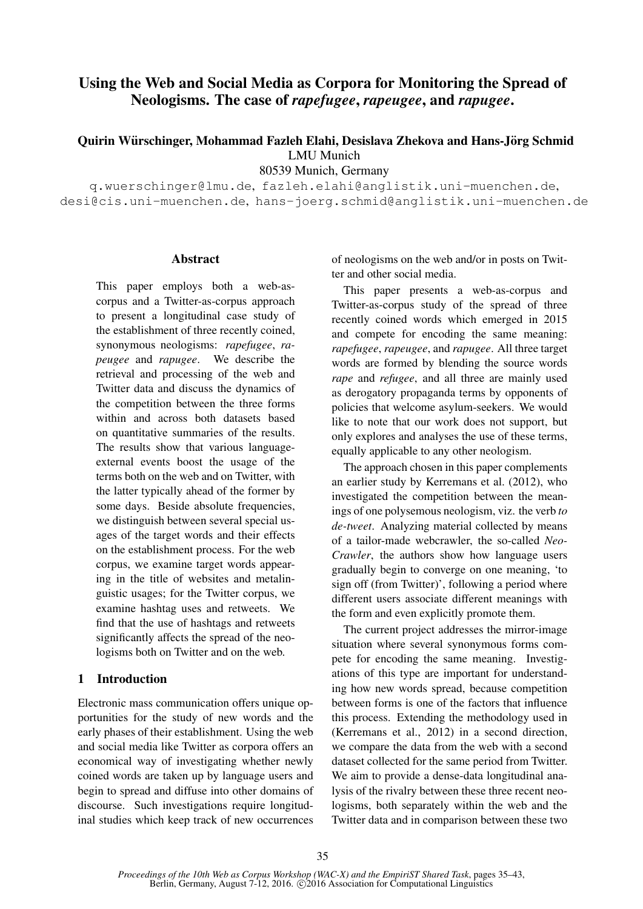# Using the Web and Social Media as Corpora for Monitoring the Spread of Neologisms. The case of *rapefugee*, *rapeugee*, and *rapugee*.

## Quirin Würschinger, Mohammad Fazleh Elahi, Desislava Zhekova and Hans-Jörg Schmid LMU Munich

80539 Munich, Germany

q.wuerschinger@lmu.de, fazleh.elahi@anglistik.uni-muenchen.de, desi@cis.uni-muenchen.de, hans-joerg.schmid@anglistik.uni-muenchen.de

### Abstract

This paper employs both a web-ascorpus and a Twitter-as-corpus approach to present a longitudinal case study of the establishment of three recently coined, synonymous neologisms: *rapefugee*, *rapeugee* and *rapugee*. We describe the retrieval and processing of the web and Twitter data and discuss the dynamics of the competition between the three forms within and across both datasets based on quantitative summaries of the results. The results show that various languageexternal events boost the usage of the terms both on the web and on Twitter, with the latter typically ahead of the former by some days. Beside absolute frequencies, we distinguish between several special usages of the target words and their effects on the establishment process. For the web corpus, we examine target words appearing in the title of websites and metalinguistic usages; for the Twitter corpus, we examine hashtag uses and retweets. We find that the use of hashtags and retweets significantly affects the spread of the neologisms both on Twitter and on the web.

## 1 Introduction

Electronic mass communication offers unique opportunities for the study of new words and the early phases of their establishment. Using the web and social media like Twitter as corpora offers an economical way of investigating whether newly coined words are taken up by language users and begin to spread and diffuse into other domains of discourse. Such investigations require longitudinal studies which keep track of new occurrences of neologisms on the web and/or in posts on Twitter and other social media.

This paper presents a web-as-corpus and Twitter-as-corpus study of the spread of three recently coined words which emerged in 2015 and compete for encoding the same meaning: *rapefugee*, *rapeugee*, and *rapugee*. All three target words are formed by blending the source words *rape* and *refugee*, and all three are mainly used as derogatory propaganda terms by opponents of policies that welcome asylum-seekers. We would like to note that our work does not support, but only explores and analyses the use of these terms, equally applicable to any other neologism.

The approach chosen in this paper complements an earlier study by Kerremans et al. (2012), who investigated the competition between the meanings of one polysemous neologism, viz. the verb *to de-tweet*. Analyzing material collected by means of a tailor-made webcrawler, the so-called *Neo-Crawler*, the authors show how language users gradually begin to converge on one meaning, 'to sign off (from Twitter)', following a period where different users associate different meanings with the form and even explicitly promote them.

The current project addresses the mirror-image situation where several synonymous forms compete for encoding the same meaning. Investigations of this type are important for understanding how new words spread, because competition between forms is one of the factors that influence this process. Extending the methodology used in (Kerremans et al., 2012) in a second direction, we compare the data from the web with a second dataset collected for the same period from Twitter. We aim to provide a dense-data longitudinal analysis of the rivalry between these three recent neologisms, both separately within the web and the Twitter data and in comparison between these two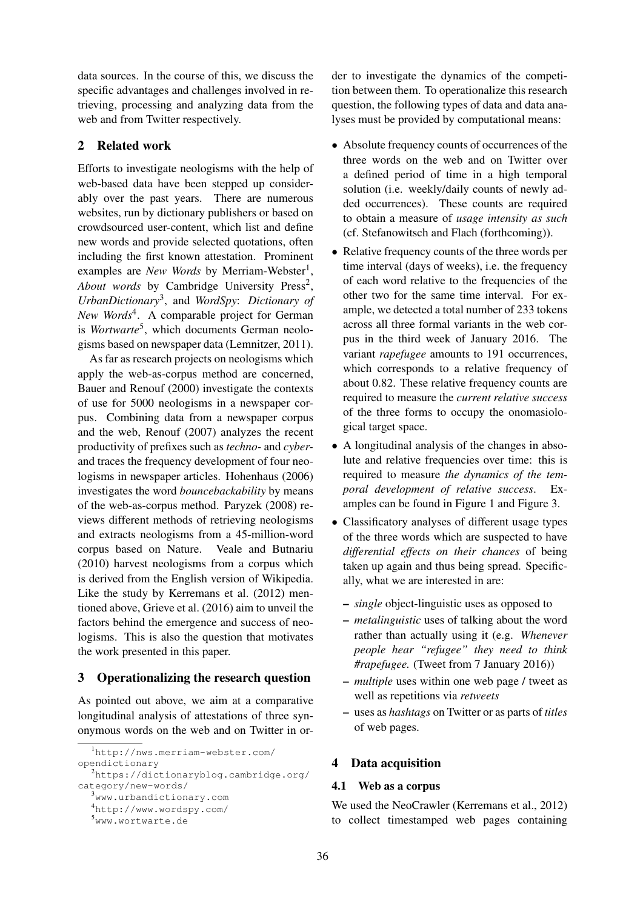data sources. In the course of this, we discuss the specific advantages and challenges involved in retrieving, processing and analyzing data from the web and from Twitter respectively.

## 2 Related work

Efforts to investigate neologisms with the help of web-based data have been stepped up considerably over the past years. There are numerous websites, run by dictionary publishers or based on crowdsourced user-content, which list and define new words and provide selected quotations, often including the first known attestation. Prominent examples are *New Words* by Merriam-Webster<sup>1</sup>, About words by Cambridge University Press<sup>2</sup>, *UrbanDictionary*<sup>3</sup> , and *WordSpy*: *Dictionary of New Words*<sup>4</sup> . A comparable project for German is *Wortwarte<sup>5</sup>*, which documents German neologisms based on newspaper data (Lemnitzer, 2011).

As far as research projects on neologisms which apply the web-as-corpus method are concerned, Bauer and Renouf (2000) investigate the contexts of use for 5000 neologisms in a newspaper corpus. Combining data from a newspaper corpus and the web, Renouf (2007) analyzes the recent productivity of prefixes such as *techno-* and *cyber*and traces the frequency development of four neologisms in newspaper articles. Hohenhaus (2006) investigates the word *bouncebackability* by means of the web-as-corpus method. Paryzek (2008) reviews different methods of retrieving neologisms and extracts neologisms from a 45-million-word corpus based on Nature. Veale and Butnariu (2010) harvest neologisms from a corpus which is derived from the English version of Wikipedia. Like the study by Kerremans et al. (2012) mentioned above, Grieve et al. (2016) aim to unveil the factors behind the emergence and success of neologisms. This is also the question that motivates the work presented in this paper.

#### 3 Operationalizing the research question

As pointed out above, we aim at a comparative longitudinal analysis of attestations of three synonymous words on the web and on Twitter in order to investigate the dynamics of the competition between them. To operationalize this research question, the following types of data and data analyses must be provided by computational means:

- Absolute frequency counts of occurrences of the three words on the web and on Twitter over a defined period of time in a high temporal solution (i.e. weekly/daily counts of newly added occurrences). These counts are required to obtain a measure of *usage intensity as such* (cf. Stefanowitsch and Flach (forthcoming)).
- Relative frequency counts of the three words per time interval (days of weeks), i.e. the frequency of each word relative to the frequencies of the other two for the same time interval. For example, we detected a total number of 233 tokens across all three formal variants in the web corpus in the third week of January 2016. The variant *rapefugee* amounts to 191 occurrences, which corresponds to a relative frequency of about 0.82. These relative frequency counts are required to measure the *current relative success* of the three forms to occupy the onomasiological target space.
- A longitudinal analysis of the changes in absolute and relative frequencies over time: this is required to measure *the dynamics of the temporal development of relative success*. Examples can be found in Figure 1 and Figure 3.
- Classificatory analyses of different usage types of the three words which are suspected to have *differential effects on their chances* of being taken up again and thus being spread. Specifically, what we are interested in are:
	- *single* object-linguistic uses as opposed to
	- *metalinguistic* uses of talking about the word rather than actually using it (e.g. *Whenever people hear "refugee" they need to think #rapefugee.* (Tweet from 7 January 2016))
	- *multiple* uses within one web page / tweet as well as repetitions via *retweets*
	- uses as *hashtags* on Twitter or as parts of *titles* of web pages.

## 4 Data acquisition

#### 4.1 Web as a corpus

We used the NeoCrawler (Kerremans et al., 2012) to collect timestamped web pages containing

<sup>1</sup>http://nws.merriam-webster.com/ opendictionary <sup>2</sup>https://dictionaryblog.cambridge.org/ category/new-words/ <sup>3</sup>www.urbandictionary.com <sup>4</sup>http://www.wordspy.com/ <sup>5</sup>www.wortwarte.de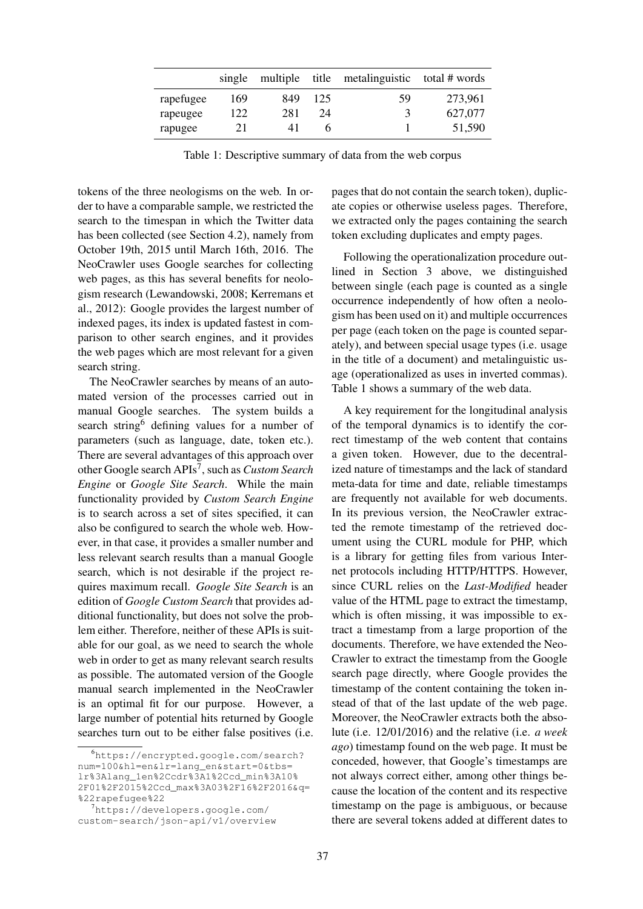|           | single |     |     | multiple title metalinguistic total # words |         |
|-----------|--------|-----|-----|---------------------------------------------|---------|
| rapefugee | 169    | 849 | 125 | 59                                          | 273,961 |
| rapeugee  | 122    | 281 | 24  | 3                                           | 627,077 |
| rapugee   | 21     |     |     |                                             | 51.590  |

Table 1: Descriptive summary of data from the web corpus

tokens of the three neologisms on the web. In order to have a comparable sample, we restricted the search to the timespan in which the Twitter data has been collected (see Section 4.2), namely from October 19th, 2015 until March 16th, 2016. The NeoCrawler uses Google searches for collecting web pages, as this has several benefits for neologism research (Lewandowski, 2008; Kerremans et al., 2012): Google provides the largest number of indexed pages, its index is updated fastest in comparison to other search engines, and it provides the web pages which are most relevant for a given search string.

The NeoCrawler searches by means of an automated version of the processes carried out in manual Google searches. The system builds a search string<sup>6</sup> defining values for a number of parameters (such as language, date, token etc.). There are several advantages of this approach over other Google search APIs<sup>7</sup> , such as *Custom Search Engine* or *Google Site Search*. While the main functionality provided by *Custom Search Engine* is to search across a set of sites specified, it can also be configured to search the whole web. However, in that case, it provides a smaller number and less relevant search results than a manual Google search, which is not desirable if the project requires maximum recall. *Google Site Search* is an edition of *Google Custom Search* that provides additional functionality, but does not solve the problem either. Therefore, neither of these APIs is suitable for our goal, as we need to search the whole web in order to get as many relevant search results as possible. The automated version of the Google manual search implemented in the NeoCrawler is an optimal fit for our purpose. However, a large number of potential hits returned by Google searches turn out to be either false positives (i.e. pages that do not contain the search token), duplicate copies or otherwise useless pages. Therefore, we extracted only the pages containing the search token excluding duplicates and empty pages.

Following the operationalization procedure outlined in Section 3 above, we distinguished between single (each page is counted as a single occurrence independently of how often a neologism has been used on it) and multiple occurrences per page (each token on the page is counted separately), and between special usage types (i.e. usage in the title of a document) and metalinguistic usage (operationalized as uses in inverted commas). Table 1 shows a summary of the web data.

A key requirement for the longitudinal analysis of the temporal dynamics is to identify the correct timestamp of the web content that contains a given token. However, due to the decentralized nature of timestamps and the lack of standard meta-data for time and date, reliable timestamps are frequently not available for web documents. In its previous version, the NeoCrawler extracted the remote timestamp of the retrieved document using the CURL module for PHP, which is a library for getting files from various Internet protocols including HTTP/HTTPS. However, since CURL relies on the *Last-Modified* header value of the HTML page to extract the timestamp, which is often missing, it was impossible to extract a timestamp from a large proportion of the documents. Therefore, we have extended the Neo-Crawler to extract the timestamp from the Google search page directly, where Google provides the timestamp of the content containing the token instead of that of the last update of the web page. Moreover, the NeoCrawler extracts both the absolute (i.e. 12/01/2016) and the relative (i.e. *a week ago*) timestamp found on the web page. It must be conceded, however, that Google's timestamps are not always correct either, among other things because the location of the content and its respective timestamp on the page is ambiguous, or because there are several tokens added at different dates to

<sup>6</sup>https://encrypted.google.com/search? num=100&hl=en&lr=lang\_en&start=0&tbs= lr%3Alang\_1en%2Ccdr%3A1%2Ccd\_min%3A10% 2F01%2F2015%2Ccd\_max%3A03%2F16%2F2016&q= %22rapefugee%22

<sup>7</sup>https://developers.google.com/ custom-search/json-api/v1/overview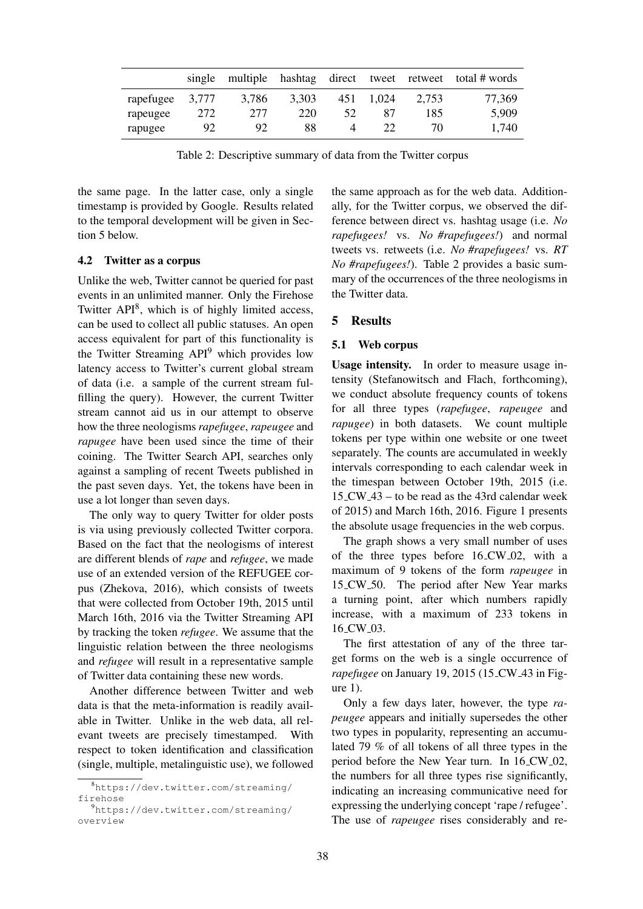|           | single |       |       |     |       |       | multiple hashtag direct tweet retweet total # words |
|-----------|--------|-------|-------|-----|-------|-------|-----------------------------------------------------|
| rapefugee | 3,777  | 3,786 | 3.303 | 451 | 1.024 | 2.753 | 77.369                                              |
| rapeugee  | 272    | 277   | 220   | 52  | 87    | 185   | 5,909                                               |
| rapugee   | 92     | 92    | 88    |     | 22    | 70.   | 1.740                                               |

Table 2: Descriptive summary of data from the Twitter corpus

the same page. In the latter case, only a single timestamp is provided by Google. Results related to the temporal development will be given in Section 5 below.

### 4.2 Twitter as a corpus

Unlike the web, Twitter cannot be queried for past events in an unlimited manner. Only the Firehose Twitter API<sup>8</sup>, which is of highly limited access, can be used to collect all public statuses. An open access equivalent for part of this functionality is the Twitter Streaming  $API<sup>9</sup>$  which provides low latency access to Twitter's current global stream of data (i.e. a sample of the current stream fulfilling the query). However, the current Twitter stream cannot aid us in our attempt to observe how the three neologisms*rapefugee*, *rapeugee* and *rapugee* have been used since the time of their coining. The Twitter Search API, searches only against a sampling of recent Tweets published in the past seven days. Yet, the tokens have been in use a lot longer than seven days.

The only way to query Twitter for older posts is via using previously collected Twitter corpora. Based on the fact that the neologisms of interest are different blends of *rape* and *refugee*, we made use of an extended version of the REFUGEE corpus (Zhekova, 2016), which consists of tweets that were collected from October 19th, 2015 until March 16th, 2016 via the Twitter Streaming API by tracking the token *refugee*. We assume that the linguistic relation between the three neologisms and *refugee* will result in a representative sample of Twitter data containing these new words.

Another difference between Twitter and web data is that the meta-information is readily available in Twitter. Unlike in the web data, all relevant tweets are precisely timestamped. With respect to token identification and classification (single, multiple, metalinguistic use), we followed the same approach as for the web data. Additionally, for the Twitter corpus, we observed the difference between direct vs. hashtag usage (i.e. *No rapefugees!* vs. *No #rapefugees!*) and normal tweets vs. retweets (i.e. *No #rapefugees!* vs. *RT No #rapefugees!*). Table 2 provides a basic summary of the occurrences of the three neologisms in the Twitter data.

## 5 Results

#### 5.1 Web corpus

Usage intensity. In order to measure usage intensity (Stefanowitsch and Flach, forthcoming), we conduct absolute frequency counts of tokens for all three types (*rapefugee*, *rapeugee* and *rapugee*) in both datasets. We count multiple tokens per type within one website or one tweet separately. The counts are accumulated in weekly intervals corresponding to each calendar week in the timespan between October 19th, 2015 (i.e. 15 CW 43 – to be read as the 43rd calendar week of 2015) and March 16th, 2016. Figure 1 presents the absolute usage frequencies in the web corpus.

The graph shows a very small number of uses of the three types before 16 CW 02, with a maximum of 9 tokens of the form *rapeugee* in 15 CW 50. The period after New Year marks a turning point, after which numbers rapidly increase, with a maximum of 233 tokens in 16\_CW\_03.

The first attestation of any of the three target forms on the web is a single occurrence of *rapefugee* on January 19, 2015 (15 CW 43 in Figure 1).

Only a few days later, however, the type *rapeugee* appears and initially supersedes the other two types in popularity, representing an accumulated 79 % of all tokens of all three types in the period before the New Year turn. In 16 CW 02, the numbers for all three types rise significantly, indicating an increasing communicative need for expressing the underlying concept 'rape / refugee'. The use of *rapeugee* rises considerably and re-

<sup>8</sup>https://dev.twitter.com/streaming/ firehose

<sup>9</sup>https://dev.twitter.com/streaming/ overview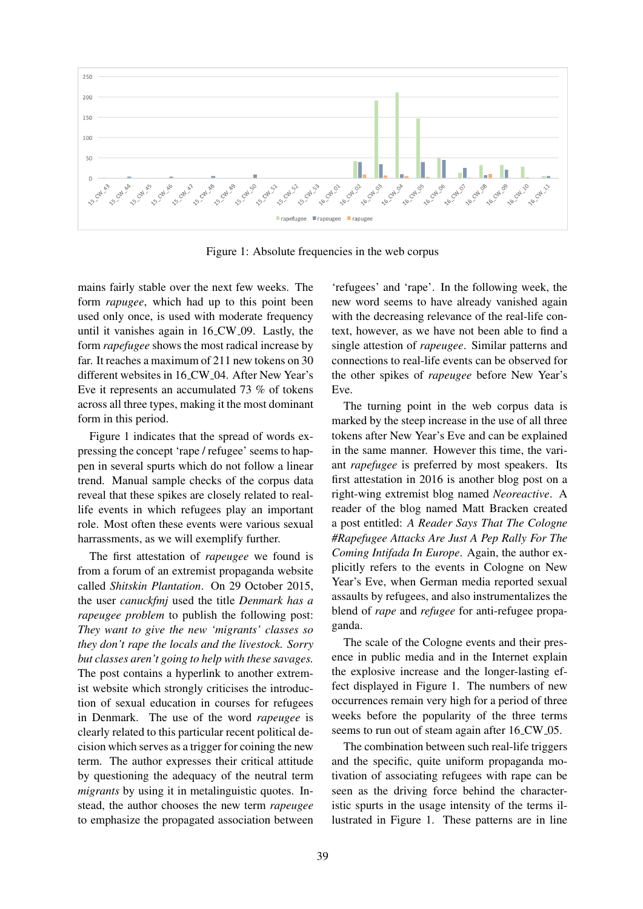

Figure 1: Absolute frequencies in the web corpus

mains fairly stable over the next few weeks. The form *rapugee*, which had up to this point been used only once, is used with moderate frequency until it vanishes again in 16 CW 09. Lastly, the form *rapefugee* shows the most radical increase by far. It reaches a maximum of 211 new tokens on 30 different websites in 16 CW 04. After New Year's Eve it represents an accumulated 73 % of tokens across all three types, making it the most dominant form in this period.

Figure 1 indicates that the spread of words expressing the concept 'rape / refugee' seems to happen in several spurts which do not follow a linear trend. Manual sample checks of the corpus data reveal that these spikes are closely related to reallife events in which refugees play an important role. Most often these events were various sexual harrassments, as we will exemplify further.

The first attestation of *rapeugee* we found is from a forum of an extremist propaganda website called *Shitskin Plantation*. On 29 October 2015, the user *canuckfmj* used the title *Denmark has a rapeugee problem* to publish the following post: *They want to give the new 'migrants' classes so they don't rape the locals and the livestock. Sorry but classes aren't going to help with these savages.* The post contains a hyperlink to another extremist website which strongly criticises the introduction of sexual education in courses for refugees in Denmark. The use of the word *rapeugee* is clearly related to this particular recent political decision which serves as a trigger for coining the new term. The author expresses their critical attitude by questioning the adequacy of the neutral term *migrants* by using it in metalinguistic quotes. Instead, the author chooses the new term *rapeugee* to emphasize the propagated association between

'refugees' and 'rape'. In the following week, the new word seems to have already vanished again with the decreasing relevance of the real-life context, however, as we have not been able to find a single attestion of *rapeugee*. Similar patterns and connections to real-life events can be observed for the other spikes of *rapeugee* before New Year's Eve.

The turning point in the web corpus data is marked by the steep increase in the use of all three tokens after New Year's Eve and can be explained in the same manner. However this time, the variant *rapefugee* is preferred by most speakers. Its first attestation in 2016 is another blog post on a right-wing extremist blog named *Neoreactive*. A reader of the blog named Matt Bracken created a post entitled: *A Reader Says That The Cologne #Rapefugee Attacks Are Just A Pep Rally For The Coming Intifada In Europe*. Again, the author explicitly refers to the events in Cologne on New Year's Eve, when German media reported sexual assaults by refugees, and also instrumentalizes the blend of *rape* and *refugee* for anti-refugee propaganda.

The scale of the Cologne events and their presence in public media and in the Internet explain the explosive increase and the longer-lasting effect displayed in Figure 1. The numbers of new occurrences remain very high for a period of three weeks before the popularity of the three terms seems to run out of steam again after 16\_CW\_05.

The combination between such real-life triggers and the specific, quite uniform propaganda motivation of associating refugees with rape can be seen as the driving force behind the characteristic spurts in the usage intensity of the terms illustrated in Figure 1. These patterns are in line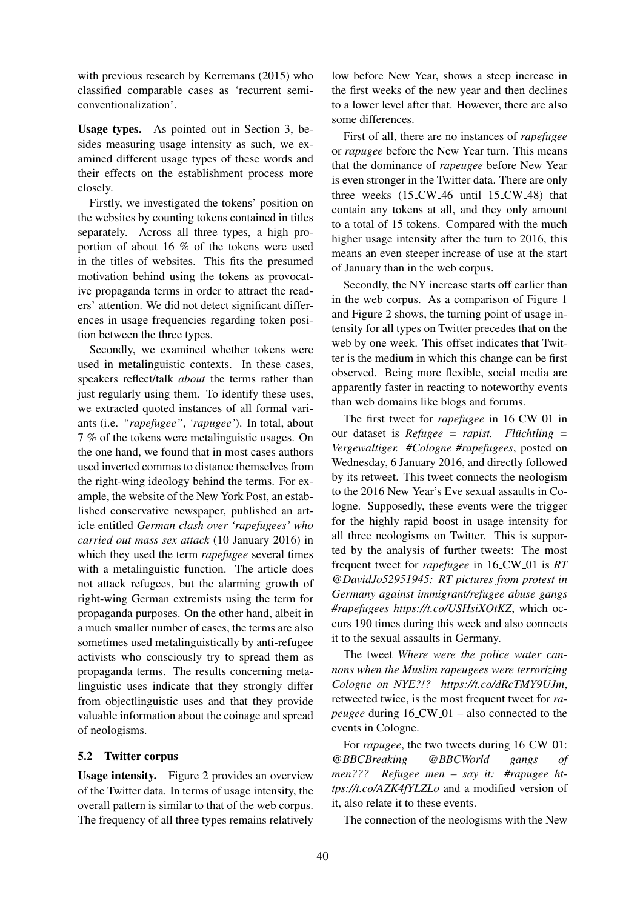with previous research by Kerremans (2015) who classified comparable cases as 'recurrent semiconventionalization'.

Usage types. As pointed out in Section 3, besides measuring usage intensity as such, we examined different usage types of these words and their effects on the establishment process more closely.

Firstly, we investigated the tokens' position on the websites by counting tokens contained in titles separately. Across all three types, a high proportion of about 16 % of the tokens were used in the titles of websites. This fits the presumed motivation behind using the tokens as provocative propaganda terms in order to attract the readers' attention. We did not detect significant differences in usage frequencies regarding token position between the three types.

Secondly, we examined whether tokens were used in metalinguistic contexts. In these cases, speakers reflect/talk *about* the terms rather than just regularly using them. To identify these uses, we extracted quoted instances of all formal variants (i.e. *"rapefugee"*, *'rapugee'*). In total, about 7 % of the tokens were metalinguistic usages. On the one hand, we found that in most cases authors used inverted commas to distance themselves from the right-wing ideology behind the terms. For example, the website of the New York Post, an established conservative newspaper, published an article entitled *German clash over 'rapefugees' who carried out mass sex attack* (10 January 2016) in which they used the term *rapefugee* several times with a metalinguistic function. The article does not attack refugees, but the alarming growth of right-wing German extremists using the term for propaganda purposes. On the other hand, albeit in a much smaller number of cases, the terms are also sometimes used metalinguistically by anti-refugee activists who consciously try to spread them as propaganda terms. The results concerning metalinguistic uses indicate that they strongly differ from objectlinguistic uses and that they provide valuable information about the coinage and spread of neologisms.

#### 5.2 Twitter corpus

Usage intensity. Figure 2 provides an overview of the Twitter data. In terms of usage intensity, the overall pattern is similar to that of the web corpus. The frequency of all three types remains relatively

low before New Year, shows a steep increase in the first weeks of the new year and then declines to a lower level after that. However, there are also some differences.

First of all, there are no instances of *rapefugee* or *rapugee* before the New Year turn. This means that the dominance of *rapeugee* before New Year is even stronger in the Twitter data. There are only three weeks (15\_CW\_46 until 15\_CW\_48) that contain any tokens at all, and they only amount to a total of 15 tokens. Compared with the much higher usage intensity after the turn to 2016, this means an even steeper increase of use at the start of January than in the web corpus.

Secondly, the NY increase starts off earlier than in the web corpus. As a comparison of Figure 1 and Figure 2 shows, the turning point of usage intensity for all types on Twitter precedes that on the web by one week. This offset indicates that Twitter is the medium in which this change can be first observed. Being more flexible, social media are apparently faster in reacting to noteworthy events than web domains like blogs and forums.

The first tweet for *rapefugee* in 16<sub>-CW-01</sub> in our dataset is *Refugee = rapist. Fluchtling = ¨ Vergewaltiger. #Cologne #rapefugees*, posted on Wednesday, 6 January 2016, and directly followed by its retweet. This tweet connects the neologism to the 2016 New Year's Eve sexual assaults in Cologne. Supposedly, these events were the trigger for the highly rapid boost in usage intensity for all three neologisms on Twitter. This is supported by the analysis of further tweets: The most frequent tweet for *rapefugee* in 16\_CW\_01 is *RT @DavidJo52951945: RT pictures from protest in Germany against immigrant/refugee abuse gangs #rapefugees https://t.co/USHsiXOtKZ*, which occurs 190 times during this week and also connects it to the sexual assaults in Germany.

The tweet *Where were the police water cannons when the Muslim rapeugees were terrorizing Cologne on NYE?!? https://t.co/dRcTMY9UJm*, retweeted twice, is the most frequent tweet for *rapeugee* during  $16$ <sub>-C</sub>W<sub>-01</sub> – also connected to the events in Cologne.

For *rapugee*, the two tweets during 16\_CW\_01: *@BBCBreaking @BBCWorld gangs of men??? Refugee men – say it: #rapugee https://t.co/AZK4fYLZLo* and a modified version of it, also relate it to these events.

The connection of the neologisms with the New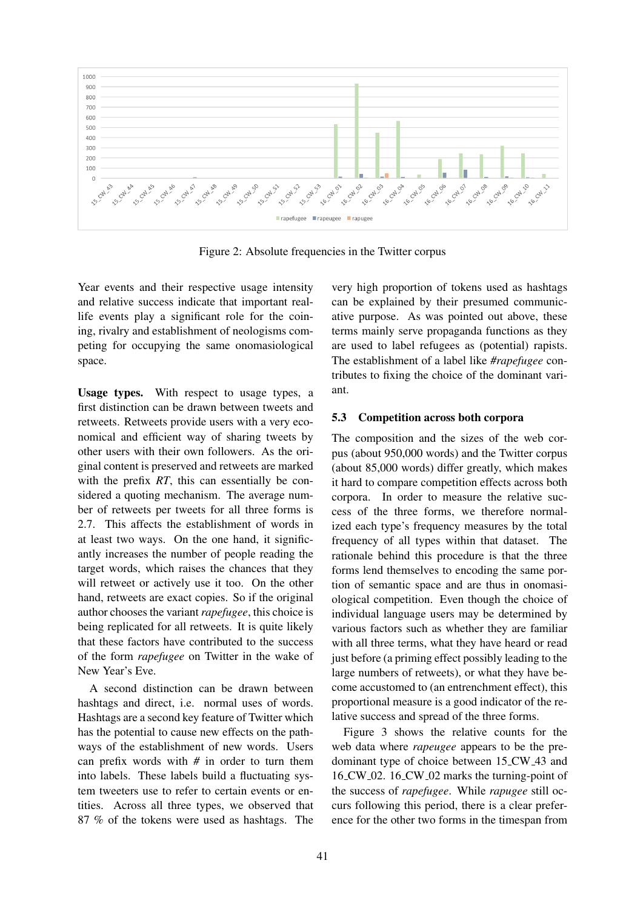![](_page_6_Figure_0.jpeg)

Figure 2: Absolute frequencies in the Twitter corpus

Year events and their respective usage intensity and relative success indicate that important reallife events play a significant role for the coining, rivalry and establishment of neologisms competing for occupying the same onomasiological space.

Usage types. With respect to usage types, a first distinction can be drawn between tweets and retweets. Retweets provide users with a very economical and efficient way of sharing tweets by other users with their own followers. As the original content is preserved and retweets are marked with the prefix *RT*, this can essentially be considered a quoting mechanism. The average number of retweets per tweets for all three forms is 2.7. This affects the establishment of words in at least two ways. On the one hand, it significantly increases the number of people reading the target words, which raises the chances that they will retweet or actively use it too. On the other hand, retweets are exact copies. So if the original author chooses the variant*rapefugee*, this choice is being replicated for all retweets. It is quite likely that these factors have contributed to the success of the form *rapefugee* on Twitter in the wake of New Year's Eve.

A second distinction can be drawn between hashtags and direct, i.e. normal uses of words. Hashtags are a second key feature of Twitter which has the potential to cause new effects on the pathways of the establishment of new words. Users can prefix words with *#* in order to turn them into labels. These labels build a fluctuating system tweeters use to refer to certain events or entities. Across all three types, we observed that 87 % of the tokens were used as hashtags. The

very high proportion of tokens used as hashtags can be explained by their presumed communicative purpose. As was pointed out above, these terms mainly serve propaganda functions as they are used to label refugees as (potential) rapists. The establishment of a label like *#rapefugee* contributes to fixing the choice of the dominant variant.

## 5.3 Competition across both corpora

The composition and the sizes of the web corpus (about 950,000 words) and the Twitter corpus (about 85,000 words) differ greatly, which makes it hard to compare competition effects across both corpora. In order to measure the relative success of the three forms, we therefore normalized each type's frequency measures by the total frequency of all types within that dataset. The rationale behind this procedure is that the three forms lend themselves to encoding the same portion of semantic space and are thus in onomasiological competition. Even though the choice of individual language users may be determined by various factors such as whether they are familiar with all three terms, what they have heard or read just before (a priming effect possibly leading to the large numbers of retweets), or what they have become accustomed to (an entrenchment effect), this proportional measure is a good indicator of the relative success and spread of the three forms.

Figure 3 shows the relative counts for the web data where *rapeugee* appears to be the predominant type of choice between 15 CW 43 and 16 CW 02. 16 CW 02 marks the turning-point of the success of *rapefugee*. While *rapugee* still occurs following this period, there is a clear preference for the other two forms in the timespan from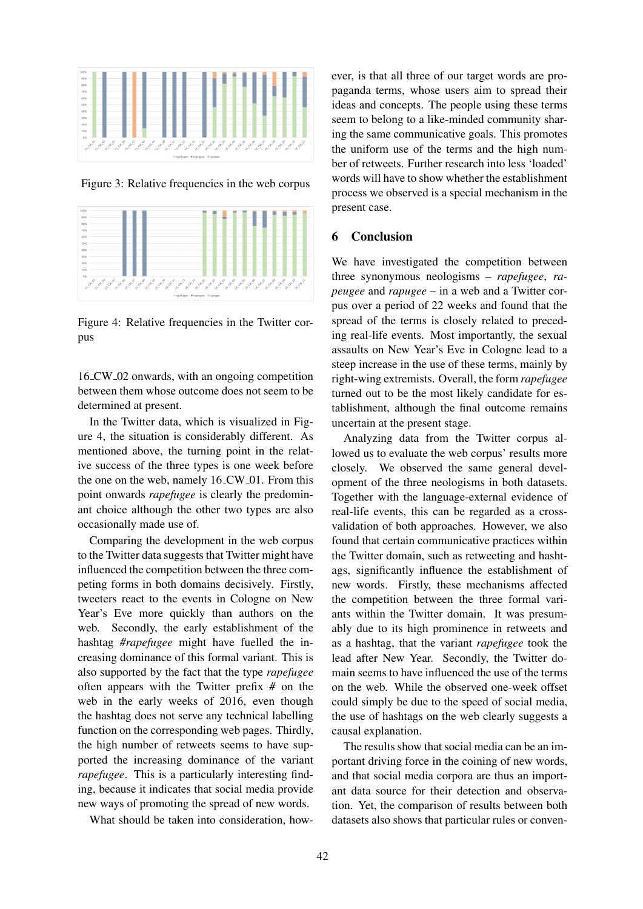![](_page_7_Figure_0.jpeg)

Figure 3: Relative frequencies in the web corpus

![](_page_7_Figure_2.jpeg)

Figure 4: Relative frequencies in the Twitter corpus

16 CW 02 onwards, with an ongoing competition between them whose outcome does not seem to be determined at present.

In the Twitter data, which is visualized in Figure 4, the situation is considerably different. As mentioned above, the turning point in the relative success of the three types is one week before the one on the web, namely 16\_CW\_01. From this point onwards *rapefugee* is clearly the predominant choice although the other two types are also occasionally made use of.

Comparing the development in the web corpus to the Twitter data suggests that Twitter might have influenced the competition between the three competing forms in both domains decisively. Firstly, tweeters react to the events in Cologne on New Year's Eve more quickly than authors on the web. Secondly, the early establishment of the hashtag *#rapefugee* might have fuelled the increasing dominance of this formal variant. This is also supported by the fact that the type *rapefugee* often appears with the Twitter prefix *#* on the web in the early weeks of 2016, even though the hashtag does not serve any technical labelling function on the corresponding web pages. Thirdly, the high number of retweets seems to have supported the increasing dominance of the variant *rapefugee*. This is a particularly interesting finding, because it indicates that social media provide new ways of promoting the spread of new words.

What should be taken into consideration, how-

ever, is that all three of our target words are propaganda terms, whose users aim to spread their ideas and concepts. The people using these terms seem to belong to a like-minded community sharing the same communicative goals. This promotes the uniform use of the terms and the high number of retweets. Further research into less 'loaded' words will have to show whether the establishment process we observed is a special mechanism in the present case.

#### 6 Conclusion

We have investigated the competition between three synonymous neologisms – *rapefugee*, *rapeugee* and *rapugee* – in a web and a Twitter corpus over a period of 22 weeks and found that the spread of the terms is closely related to preceding real-life events. Most importantly, the sexual assaults on New Year's Eve in Cologne lead to a steep increase in the use of these terms, mainly by right-wing extremists. Overall, the form *rapefugee* turned out to be the most likely candidate for establishment, although the final outcome remains uncertain at the present stage.

Analyzing data from the Twitter corpus allowed us to evaluate the web corpus' results more closely. We observed the same general development of the three neologisms in both datasets. Together with the language-external evidence of real-life events, this can be regarded as a crossvalidation of both approaches. However, we also found that certain communicative practices within the Twitter domain, such as retweeting and hashtags, significantly influence the establishment of new words. Firstly, these mechanisms affected the competition between the three formal variants within the Twitter domain. It was presumably due to its high prominence in retweets and as a hashtag, that the variant *rapefugee* took the lead after New Year. Secondly, the Twitter domain seems to have influenced the use of the terms on the web. While the observed one-week offset could simply be due to the speed of social media, the use of hashtags on the web clearly suggests a causal explanation.

The results show that social media can be an important driving force in the coining of new words, and that social media corpora are thus an important data source for their detection and observation. Yet, the comparison of results between both datasets also shows that particular rules or conven